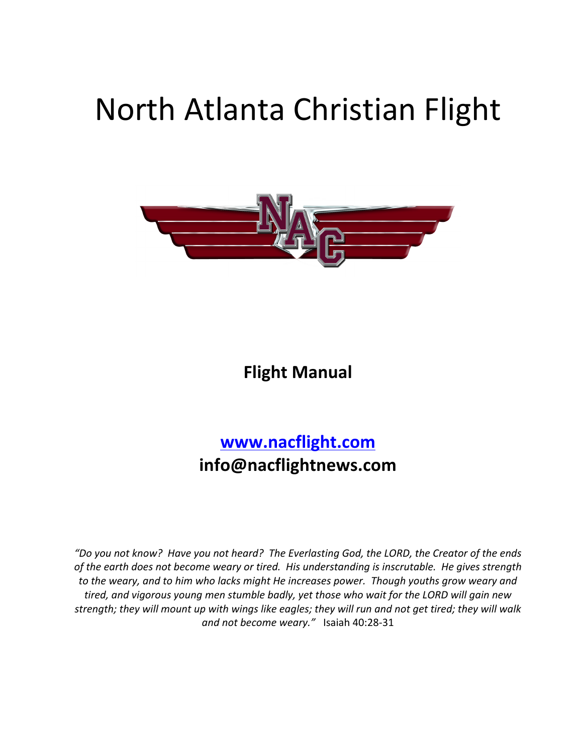# North Atlanta Christian Flight



**Flight Manual**

# **www.nacflight.com info@nacflightnews.com**

"Do you not know? Have you not heard? The Everlasting God, the LORD, the Creator of the ends of the earth does not become weary or tired. His understanding is inscrutable. He gives strength *to* the weary, and to him who lacks might He increases power. Though youths grow weary and tired, and vigorous young men stumble badly, yet those who wait for the LORD will gain new strength; they will mount up with wings like eagles; they will run and not get tired; they will walk and not become weary." Isaiah 40:28-31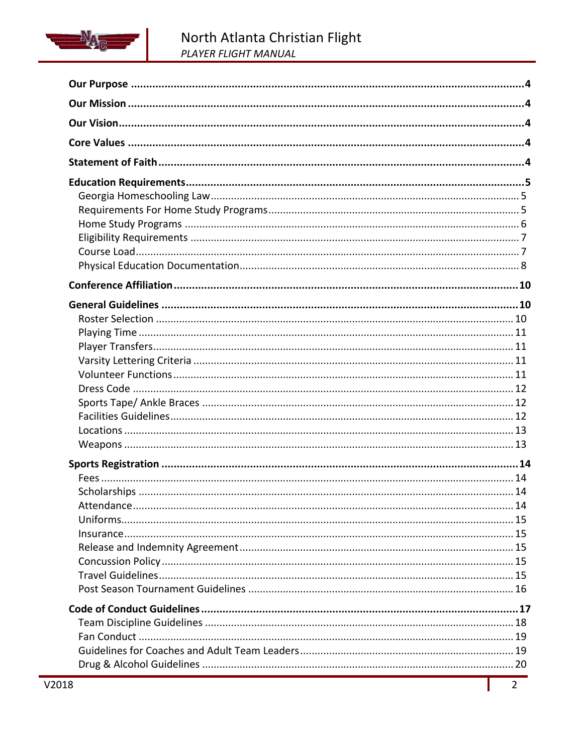

| 18 | $2^{\circ}$ |
|----|-------------|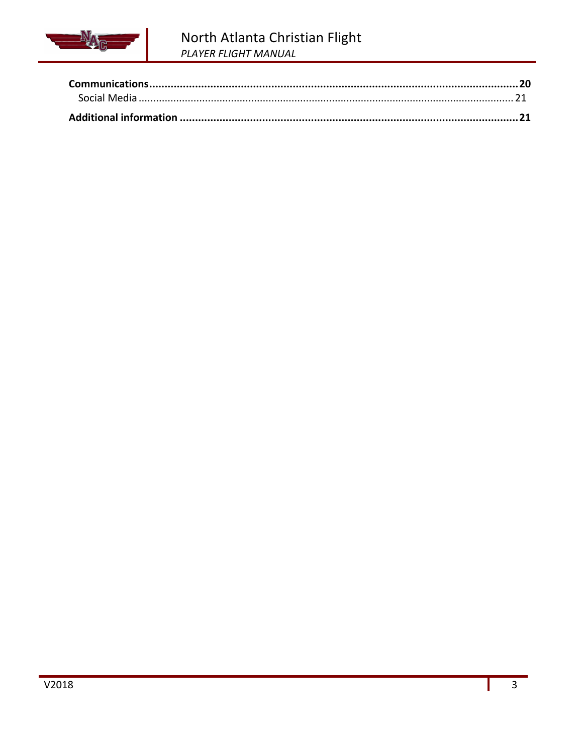

# North Atlanta Christian Flight PLAYER FLIGHT MANUAL

Ш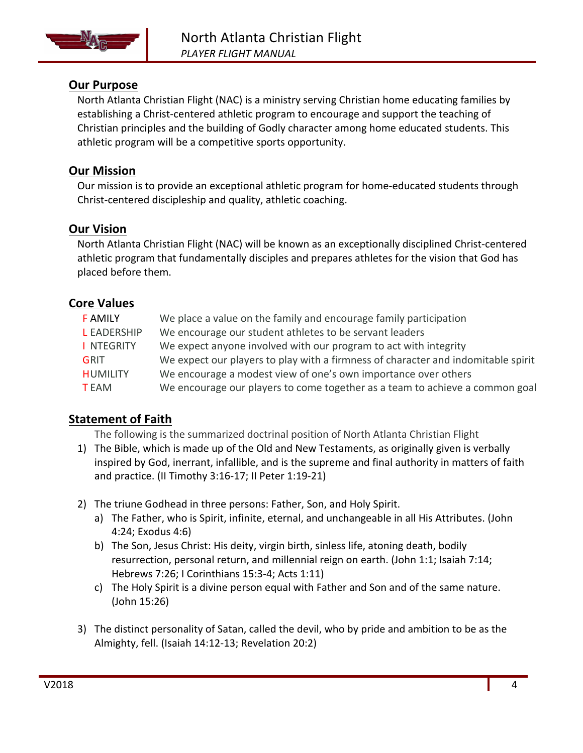

# **Our Purpose**

North Atlanta Christian Flight (NAC) is a ministry serving Christian home educating families by establishing a Christ-centered athletic program to encourage and support the teaching of Christian principles and the building of Godly character among home educated students. This athletic program will be a competitive sports opportunity.

# **Our Mission**

Our mission is to provide an exceptional athletic program for home-educated students through Christ-centered discipleship and quality, athletic coaching.

# **Our Vision**

North Atlanta Christian Flight (NAC) will be known as an exceptionally disciplined Christ-centered athletic program that fundamentally disciples and prepares athletes for the vision that God has placed before them.

# **Core Values**

| <b>FAMILY</b>      | We place a value on the family and encourage family participation                 |
|--------------------|-----------------------------------------------------------------------------------|
| <b>L</b> EADERSHIP | We encourage our student athletes to be servant leaders                           |
| I NTEGRITY         | We expect anyone involved with our program to act with integrity                  |
| GRIT               | We expect our players to play with a firmness of character and indomitable spirit |
| <b>HUMILITY</b>    | We encourage a modest view of one's own importance over others                    |
| <b>TEAM</b>        | We encourage our players to come together as a team to achieve a common goal      |

# **Statement of Faith**

The following is the summarized doctrinal position of North Atlanta Christian Flight

- 1) The Bible, which is made up of the Old and New Testaments, as originally given is verbally inspired by God, inerrant, infallible, and is the supreme and final authority in matters of faith and practice. (II Timothy  $3:16-17$ ; II Peter  $1:19-21$ )
- 2) The triune Godhead in three persons: Father, Son, and Holy Spirit.
	- a) The Father, who is Spirit, infinite, eternal, and unchangeable in all His Attributes. (John 4:24; Exodus 4:6)
	- b) The Son, Jesus Christ: His deity, virgin birth, sinless life, atoning death, bodily resurrection, personal return, and millennial reign on earth. (John 1:1; Isaiah 7:14; Hebrews 7:26; I Corinthians 15:3-4; Acts 1:11)
	- c) The Holy Spirit is a divine person equal with Father and Son and of the same nature. (John 15:26)
- 3) The distinct personality of Satan, called the devil, who by pride and ambition to be as the Almighty, fell. (Isaiah 14:12-13; Revelation 20:2)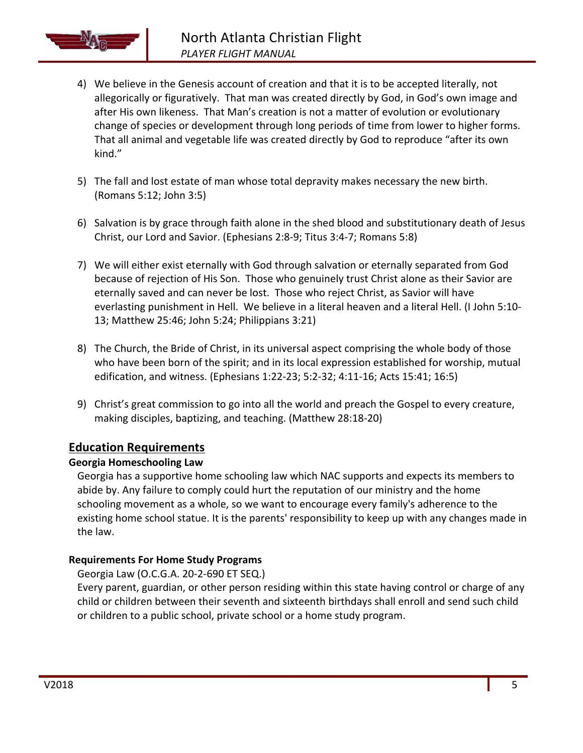

- 4) We believe in the Genesis account of creation and that it is to be accepted literally, not allegorically or figuratively. That man was created directly by God, in God's own image and after His own likeness. That Man's creation is not a matter of evolution or evolutionary change of species or development through long periods of time from lower to higher forms. That all animal and vegetable life was created directly by God to reproduce "after its own kind."
- 5) The fall and lost estate of man whose total depravity makes necessary the new birth. (Romans 5:12; John 3:5)
- 6) Salvation is by grace through faith alone in the shed blood and substitutionary death of Jesus Christ, our Lord and Savior. (Ephesians 2:8-9; Titus 3:4-7; Romans 5:8)
- 7) We will either exist eternally with God through salvation or eternally separated from God because of rejection of His Son. Those who genuinely trust Christ alone as their Savior are eternally saved and can never be lost. Those who reject Christ, as Savior will have everlasting punishment in Hell. We believe in a literal heaven and a literal Hell. (I John 5:10-13; Matthew 25:46; John 5:24; Philippians 3:21)
- 8) The Church, the Bride of Christ, in its universal aspect comprising the whole body of those who have been born of the spirit; and in its local expression established for worship, mutual edification, and witness. (Ephesians 1:22-23; 5:2-32; 4:11-16; Acts 15:41; 16:5)
- 9) Christ's great commission to go into all the world and preach the Gospel to every creature, making disciples, baptizing, and teaching. (Matthew 28:18-20)

# **Education Requirements**

#### **Georgia Homeschooling Law**

Georgia has a supportive home schooling law which NAC supports and expects its members to abide by. Any failure to comply could hurt the reputation of our ministry and the home schooling movement as a whole, so we want to encourage every family's adherence to the existing home school statue. It is the parents' responsibility to keep up with any changes made in the law.

# **Requirements For Home Study Programs**

Georgia Law (O.C.G.A. 20-2-690 ET SEQ.)

Every parent, guardian, or other person residing within this state having control or charge of any child or children between their seventh and sixteenth birthdays shall enroll and send such child or children to a public school, private school or a home study program.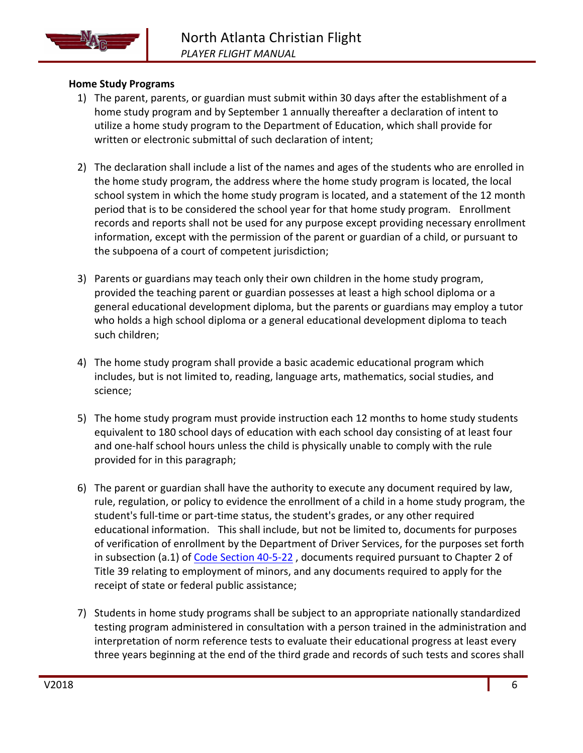

## **Home Study Programs**

- 1) The parent, parents, or guardian must submit within 30 days after the establishment of a home study program and by September 1 annually thereafter a declaration of intent to utilize a home study program to the Department of Education, which shall provide for written or electronic submittal of such declaration of intent;
- 2) The declaration shall include a list of the names and ages of the students who are enrolled in the home study program, the address where the home study program is located, the local school system in which the home study program is located, and a statement of the 12 month period that is to be considered the school year for that home study program. Enrollment records and reports shall not be used for any purpose except providing necessary enrollment information, except with the permission of the parent or guardian of a child, or pursuant to the subpoena of a court of competent jurisdiction;
- 3) Parents or guardians may teach only their own children in the home study program, provided the teaching parent or guardian possesses at least a high school diploma or a general educational development diploma, but the parents or guardians may employ a tutor who holds a high school diploma or a general educational development diploma to teach such children;
- 4) The home study program shall provide a basic academic educational program which includes, but is not limited to, reading, language arts, mathematics, social studies, and science;
- 5) The home study program must provide instruction each 12 months to home study students equivalent to 180 school days of education with each school day consisting of at least four and one-half school hours unless the child is physically unable to comply with the rule provided for in this paragraph;
- 6) The parent or guardian shall have the authority to execute any document required by law, rule, regulation, or policy to evidence the enrollment of a child in a home study program, the student's full-time or part-time status, the student's grades, or any other required educational information. This shall include, but not be limited to, documents for purposes of verification of enrollment by the Department of Driver Services, for the purposes set forth in subsection (a.1) of Code Section 40-5-22, documents required pursuant to Chapter 2 of Title 39 relating to employment of minors, and any documents required to apply for the receipt of state or federal public assistance;
- 7) Students in home study programs shall be subject to an appropriate nationally standardized testing program administered in consultation with a person trained in the administration and interpretation of norm reference tests to evaluate their educational progress at least every three years beginning at the end of the third grade and records of such tests and scores shall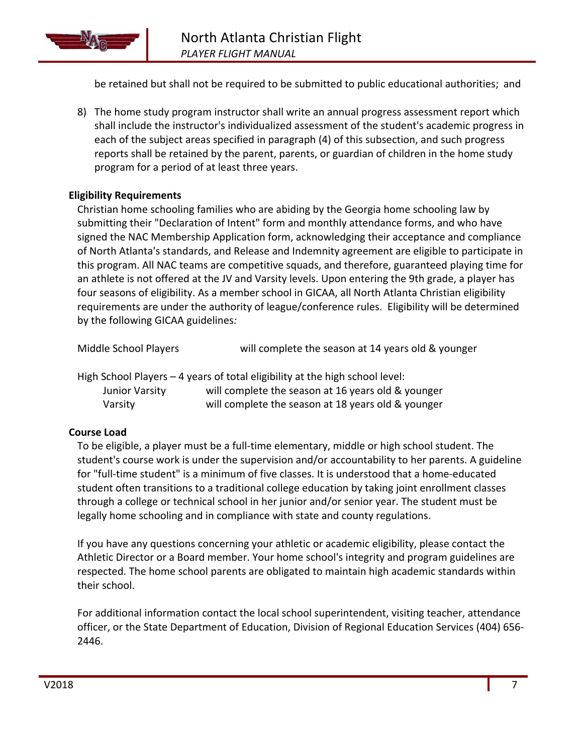

be retained but shall not be required to be submitted to public educational authorities; and

8) The home study program instructor shall write an annual progress assessment report which shall include the instructor's individualized assessment of the student's academic progress in each of the subject areas specified in paragraph (4) of this subsection, and such progress reports shall be retained by the parent, parents, or guardian of children in the home study program for a period of at least three years.

#### **Eligibility Requirements**

Christian home schooling families who are abiding by the Georgia home schooling law by submitting their "Declaration of Intent" form and monthly attendance forms, and who have signed the NAC Membership Application form, acknowledging their acceptance and compliance of North Atlanta's standards, and Release and Indemnity agreement are eligible to participate in this program. All NAC teams are competitive squads, and therefore, guaranteed playing time for an athlete is not offered at the JV and Varsity levels. Upon entering the 9th grade, a player has four seasons of eligibility. As a member school in GICAA, all North Atlanta Christian eligibility requirements are under the authority of league/conference rules. Eligibility will be determined by the following GICAA guidelines*:* 

| Middle School Players     | will complete the season at 14 years old & younger                                                                                                                                       |
|---------------------------|------------------------------------------------------------------------------------------------------------------------------------------------------------------------------------------|
| Junior Varsity<br>Varsity | High School Players - 4 years of total eligibility at the high school level:<br>will complete the season at 16 years old & younger<br>will complete the season at 18 years old & younger |

#### **Course Load**

To be eligible, a player must be a full-time elementary, middle or high school student. The student's course work is under the supervision and/or accountability to her parents. A guideline for "full-time student" is a minimum of five classes. It is understood that a home-educated student often transitions to a traditional college education by taking joint enrollment classes through a college or technical school in her junior and/or senior year. The student must be legally home schooling and in compliance with state and county regulations.

If you have any questions concerning your athletic or academic eligibility, please contact the Athletic Director or a Board member. Your home school's integrity and program guidelines are respected. The home school parents are obligated to maintain high academic standards within their school.

For additional information contact the local school superintendent, visiting teacher, attendance officer, or the State Department of Education, Division of Regional Education Services (404) 656-2446.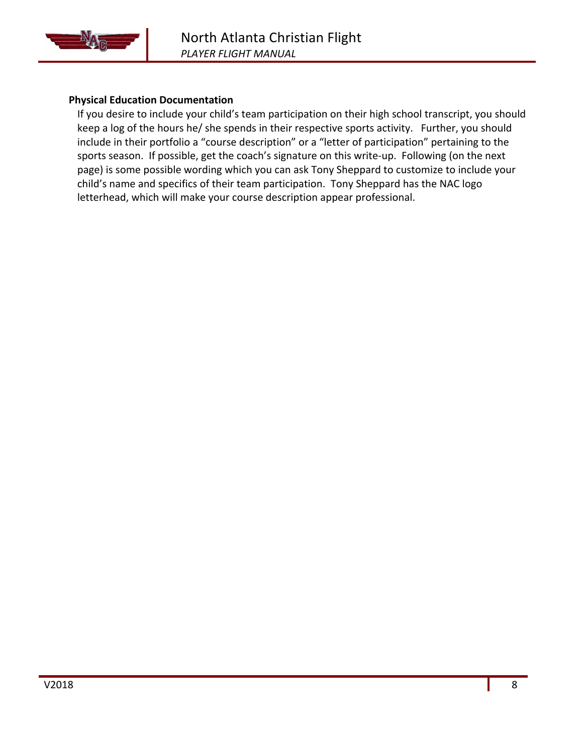

#### **Physical Education Documentation**

If you desire to include your child's team participation on their high school transcript, you should keep a log of the hours he/ she spends in their respective sports activity. Further, you should include in their portfolio a "course description" or a "letter of participation" pertaining to the sports season. If possible, get the coach's signature on this write-up. Following (on the next page) is some possible wording which you can ask Tony Sheppard to customize to include your child's name and specifics of their team participation. Tony Sheppard has the NAC logo letterhead, which will make your course description appear professional.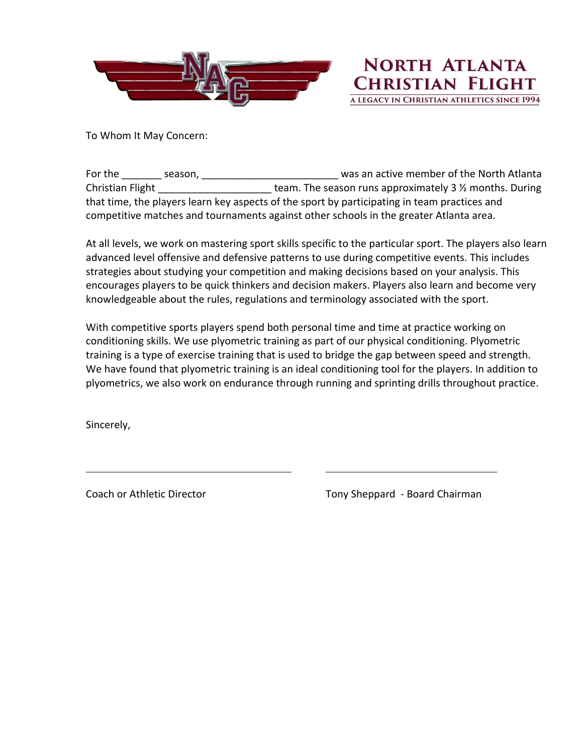

**NORTH ATLANTA CHRISTIAN FLIGHT** A LEGACY IN CHRISTIAN ATHLETICS SINCE 1994

To Whom It May Concern:

For the season, and the season, the season, and the North Atlanta Christian Flight  $\Box$   $\Box$  team. The season runs approximately 3  $\frac{1}{2}$  months. During that time, the players learn key aspects of the sport by participating in team practices and competitive matches and tournaments against other schools in the greater Atlanta area.

At all levels, we work on mastering sport skills specific to the particular sport. The players also learn advanced level offensive and defensive patterns to use during competitive events. This includes strategies about studying your competition and making decisions based on your analysis. This encourages players to be quick thinkers and decision makers. Players also learn and become very knowledgeable about the rules, regulations and terminology associated with the sport.

With competitive sports players spend both personal time and time at practice working on conditioning skills. We use plyometric training as part of our physical conditioning. Plyometric training is a type of exercise training that is used to bridge the gap between speed and strength. We have found that plyometric training is an ideal conditioning tool for the players. In addition to plyometrics, we also work on endurance through running and sprinting drills throughout practice.

Sincerely,

Coach or Athletic Director **The Coach Coach of Athletic** Director Tony Sheppard - Board Chairman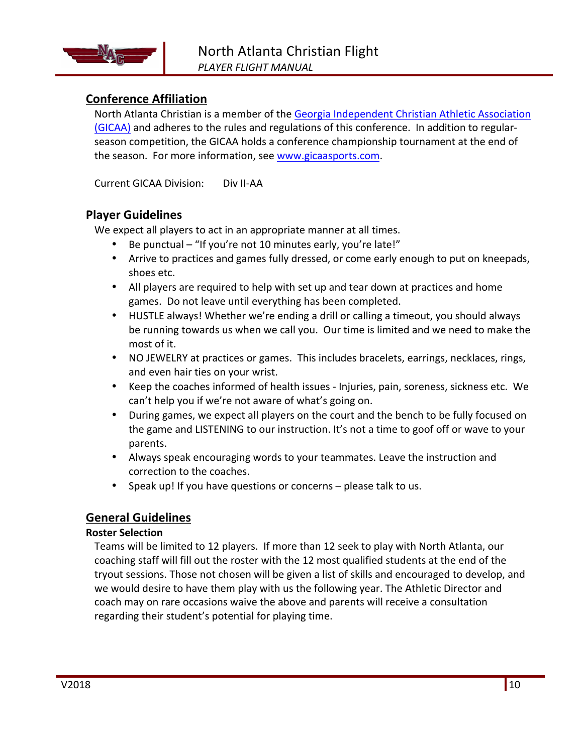# **Conference Affiliation**

North Atlanta Christian is a member of the Georgia Independent Christian Athletic Association (GICAA) and adheres to the rules and regulations of this conference. In addition to regularseason competition, the GICAA holds a conference championship tournament at the end of the season. For more information, see www.gicaasports.com.

Current GICAA Division: Div II-AA

## **Player Guidelines**

We expect all players to act in an appropriate manner at all times.

- Be punctual "If you're not 10 minutes early, you're late!"
- Arrive to practices and games fully dressed, or come early enough to put on kneepads, shoes etc.
- All players are required to help with set up and tear down at practices and home games. Do not leave until everything has been completed.
- HUSTLE always! Whether we're ending a drill or calling a timeout, you should always be running towards us when we call you. Our time is limited and we need to make the most of it.
- NO JEWELRY at practices or games. This includes bracelets, earrings, necklaces, rings, and even hair ties on your wrist.
- Keep the coaches informed of health issues Injuries, pain, soreness, sickness etc. We can't help you if we're not aware of what's going on.
- During games, we expect all players on the court and the bench to be fully focused on the game and LISTENING to our instruction. It's not a time to goof off or wave to your parents.
- Always speak encouraging words to your teammates. Leave the instruction and correction to the coaches.
- Speak up! If you have questions or concerns  $-$  please talk to us.

# **General Guidelines**

#### **Roster Selection**

Teams will be limited to 12 players. If more than 12 seek to play with North Atlanta, our coaching staff will fill out the roster with the 12 most qualified students at the end of the tryout sessions. Those not chosen will be given a list of skills and encouraged to develop, and we would desire to have them play with us the following year. The Athletic Director and coach may on rare occasions waive the above and parents will receive a consultation regarding their student's potential for playing time.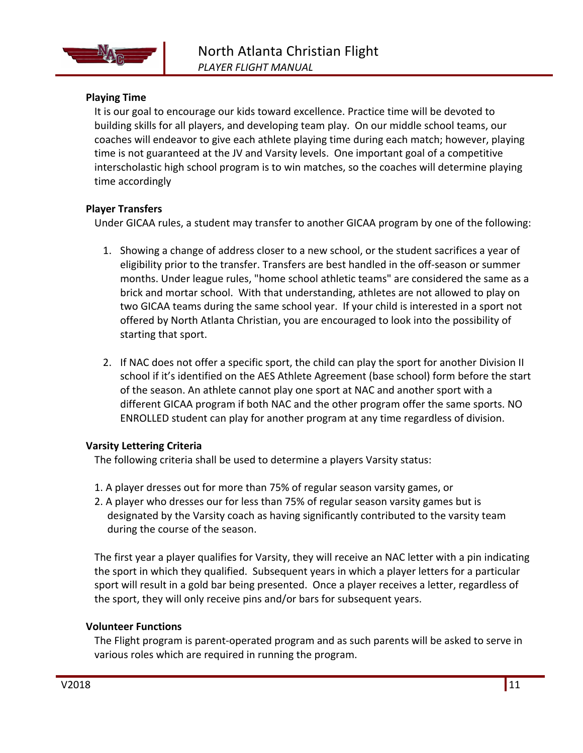

#### **Playing Time**

It is our goal to encourage our kids toward excellence. Practice time will be devoted to building skills for all players, and developing team play. On our middle school teams, our coaches will endeavor to give each athlete playing time during each match; however, playing time is not guaranteed at the JV and Varsity levels. One important goal of a competitive interscholastic high school program is to win matches, so the coaches will determine playing time accordingly

#### **Player Transfers**

Under GICAA rules, a student may transfer to another GICAA program by one of the following:

- 1. Showing a change of address closer to a new school, or the student sacrifices a year of eligibility prior to the transfer. Transfers are best handled in the off-season or summer months. Under league rules, "home school athletic teams" are considered the same as a brick and mortar school. With that understanding, athletes are not allowed to play on two GICAA teams during the same school year. If your child is interested in a sport not offered by North Atlanta Christian, you are encouraged to look into the possibility of starting that sport.
- 2. If NAC does not offer a specific sport, the child can play the sport for another Division II school if it's identified on the AES Athlete Agreement (base school) form before the start of the season. An athlete cannot play one sport at NAC and another sport with a different GICAA program if both NAC and the other program offer the same sports. NO ENROLLED student can play for another program at any time regardless of division.

#### **Varsity Lettering Criteria**

The following criteria shall be used to determine a players Varsity status:

- 1. A player dresses out for more than 75% of regular season varsity games, or
- 2. A player who dresses our for less than 75% of regular season varsity games but is designated by the Varsity coach as having significantly contributed to the varsity team during the course of the season.

The first year a player qualifies for Varsity, they will receive an NAC letter with a pin indicating the sport in which they qualified. Subsequent years in which a player letters for a particular sport will result in a gold bar being presented. Once a player receives a letter, regardless of the sport, they will only receive pins and/or bars for subsequent years.

#### **Volunteer Functions**

The Flight program is parent-operated program and as such parents will be asked to serve in various roles which are required in running the program.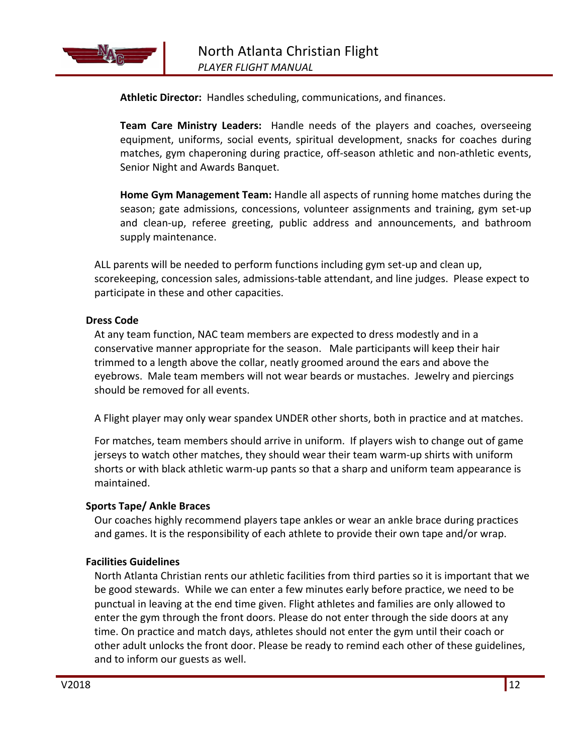

**Athletic Director:** Handles scheduling, communications, and finances.

**Team Care Ministry Leaders:** Handle needs of the players and coaches, overseeing equipment, uniforms, social events, spiritual development, snacks for coaches during matches, gym chaperoning during practice, off-season athletic and non-athletic events, Senior Night and Awards Banquet.

**Home Gym Management Team:** Handle all aspects of running home matches during the season; gate admissions, concessions, volunteer assignments and training, gym set-up and clean-up, referee greeting, public address and announcements, and bathroom supply maintenance.

ALL parents will be needed to perform functions including gym set-up and clean up, scorekeeping, concession sales, admissions-table attendant, and line judges. Please expect to participate in these and other capacities.

#### **Dress Code**

At any team function, NAC team members are expected to dress modestly and in a conservative manner appropriate for the season. Male participants will keep their hair trimmed to a length above the collar, neatly groomed around the ears and above the eyebrows. Male team members will not wear beards or mustaches. Jewelry and piercings should be removed for all events.

A Flight player may only wear spandex UNDER other shorts, both in practice and at matches.

For matches, team members should arrive in uniform. If players wish to change out of game jerseys to watch other matches, they should wear their team warm-up shirts with uniform shorts or with black athletic warm-up pants so that a sharp and uniform team appearance is maintained. 

#### **Sports Tape/ Ankle Braces**

Our coaches highly recommend players tape ankles or wear an ankle brace during practices and games. It is the responsibility of each athlete to provide their own tape and/or wrap.

#### **Facilities Guidelines**

North Atlanta Christian rents our athletic facilities from third parties so it is important that we be good stewards. While we can enter a few minutes early before practice, we need to be punctual in leaving at the end time given. Flight athletes and families are only allowed to enter the gym through the front doors. Please do not enter through the side doors at any time. On practice and match days, athletes should not enter the gym until their coach or other adult unlocks the front door. Please be ready to remind each other of these guidelines, and to inform our guests as well.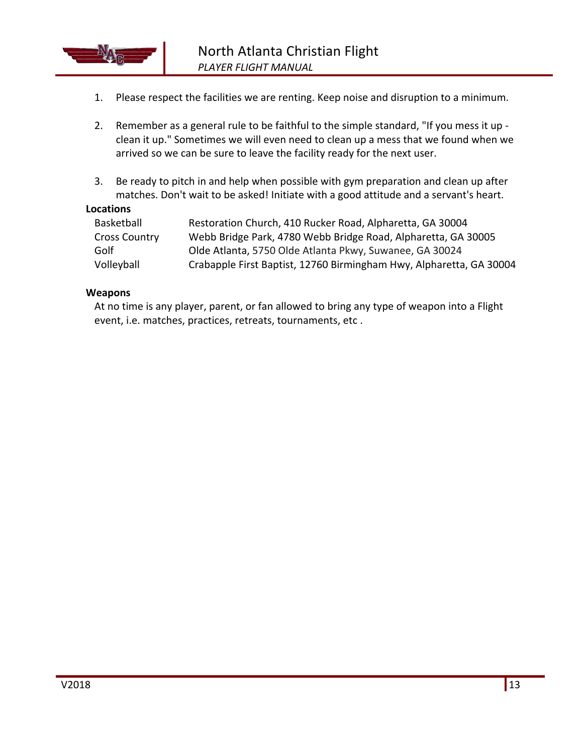

- 1. Please respect the facilities we are renting. Keep noise and disruption to a minimum.
- 2. Remember as a general rule to be faithful to the simple standard, "If you mess it up clean it up." Sometimes we will even need to clean up a mess that we found when we arrived so we can be sure to leave the facility ready for the next user.
- 3. Be ready to pitch in and help when possible with gym preparation and clean up after matches. Don't wait to be asked! Initiate with a good attitude and a servant's heart.

#### **Locations**

| Basketball           | Restoration Church, 410 Rucker Road, Alpharetta, GA 30004           |
|----------------------|---------------------------------------------------------------------|
| <b>Cross Country</b> | Webb Bridge Park, 4780 Webb Bridge Road, Alpharetta, GA 30005       |
| Golf                 | Olde Atlanta, 5750 Olde Atlanta Pkwy, Suwanee, GA 30024             |
| Volleyball           | Crabapple First Baptist, 12760 Birmingham Hwy, Alpharetta, GA 30004 |

#### **Weapons**

At no time is any player, parent, or fan allowed to bring any type of weapon into a Flight event, i.e. matches, practices, retreats, tournaments, etc.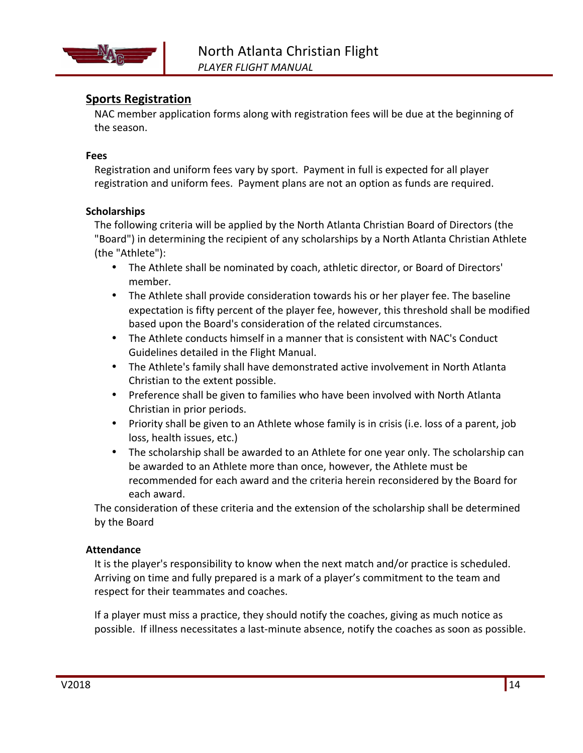

## **Sports Registration**

NAC member application forms along with registration fees will be due at the beginning of the season.

#### **Fees**

Registration and uniform fees vary by sport. Payment in full is expected for all player registration and uniform fees. Payment plans are not an option as funds are required.

#### **Scholarships**

The following criteria will be applied by the North Atlanta Christian Board of Directors (the "Board") in determining the recipient of any scholarships by a North Atlanta Christian Athlete (the "Athlete"):

- The Athlete shall be nominated by coach, athletic director, or Board of Directors' member.
- The Athlete shall provide consideration towards his or her player fee. The baseline expectation is fifty percent of the player fee, however, this threshold shall be modified based upon the Board's consideration of the related circumstances.
- The Athlete conducts himself in a manner that is consistent with NAC's Conduct Guidelines detailed in the Flight Manual.
- The Athlete's family shall have demonstrated active involvement in North Atlanta Christian to the extent possible.
- Preference shall be given to families who have been involved with North Atlanta Christian in prior periods.
- Priority shall be given to an Athlete whose family is in crisis (i.e. loss of a parent, job loss, health issues, etc.)
- The scholarship shall be awarded to an Athlete for one year only. The scholarship can be awarded to an Athlete more than once, however, the Athlete must be recommended for each award and the criteria herein reconsidered by the Board for each award.

The consideration of these criteria and the extension of the scholarship shall be determined by the Board

#### **Attendance**

It is the player's responsibility to know when the next match and/or practice is scheduled. Arriving on time and fully prepared is a mark of a player's commitment to the team and respect for their teammates and coaches.

If a player must miss a practice, they should notify the coaches, giving as much notice as possible. If illness necessitates a last-minute absence, notify the coaches as soon as possible.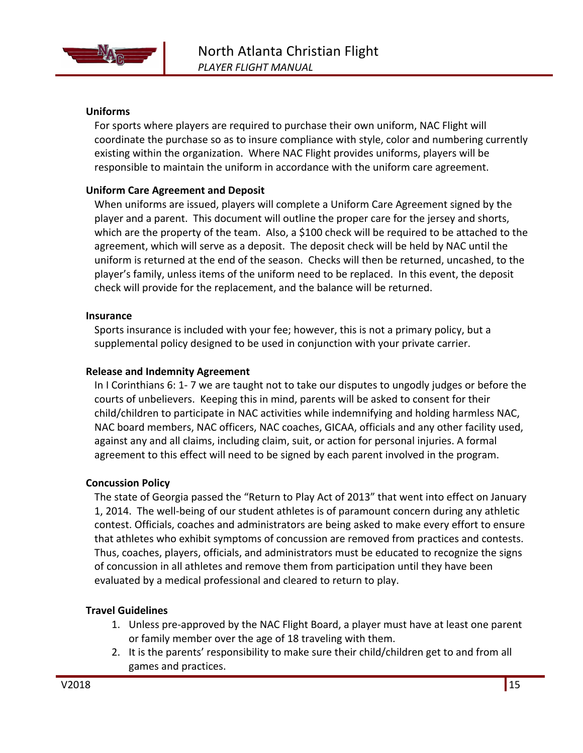

#### **Uniforms**

For sports where players are required to purchase their own uniform, NAC Flight will coordinate the purchase so as to insure compliance with style, color and numbering currently existing within the organization. Where NAC Flight provides uniforms, players will be responsible to maintain the uniform in accordance with the uniform care agreement.

#### **Uniform Care Agreement and Deposit**

When uniforms are issued, players will complete a Uniform Care Agreement signed by the player and a parent. This document will outline the proper care for the jersey and shorts, which are the property of the team. Also, a \$100 check will be required to be attached to the agreement, which will serve as a deposit. The deposit check will be held by NAC until the uniform is returned at the end of the season. Checks will then be returned, uncashed, to the player's family, unless items of the uniform need to be replaced. In this event, the deposit check will provide for the replacement, and the balance will be returned.

#### **Insurance**

Sports insurance is included with your fee; however, this is not a primary policy, but a supplemental policy designed to be used in conjunction with your private carrier.

#### **Release and Indemnity Agreement**

In I Corinthians 6: 1- 7 we are taught not to take our disputes to ungodly judges or before the courts of unbelievers. Keeping this in mind, parents will be asked to consent for their child/children to participate in NAC activities while indemnifying and holding harmless NAC, NAC board members, NAC officers, NAC coaches, GICAA, officials and any other facility used, against any and all claims, including claim, suit, or action for personal injuries. A formal agreement to this effect will need to be signed by each parent involved in the program.

#### **Concussion Policy**

The state of Georgia passed the "Return to Play Act of 2013" that went into effect on January 1, 2014. The well-being of our student athletes is of paramount concern during any athletic contest. Officials, coaches and administrators are being asked to make every effort to ensure that athletes who exhibit symptoms of concussion are removed from practices and contests. Thus, coaches, players, officials, and administrators must be educated to recognize the signs of concussion in all athletes and remove them from participation until they have been evaluated by a medical professional and cleared to return to play.

#### **Travel Guidelines**

- 1. Unless pre-approved by the NAC Flight Board, a player must have at least one parent or family member over the age of 18 traveling with them.
- 2. It is the parents' responsibility to make sure their child/children get to and from all games and practices.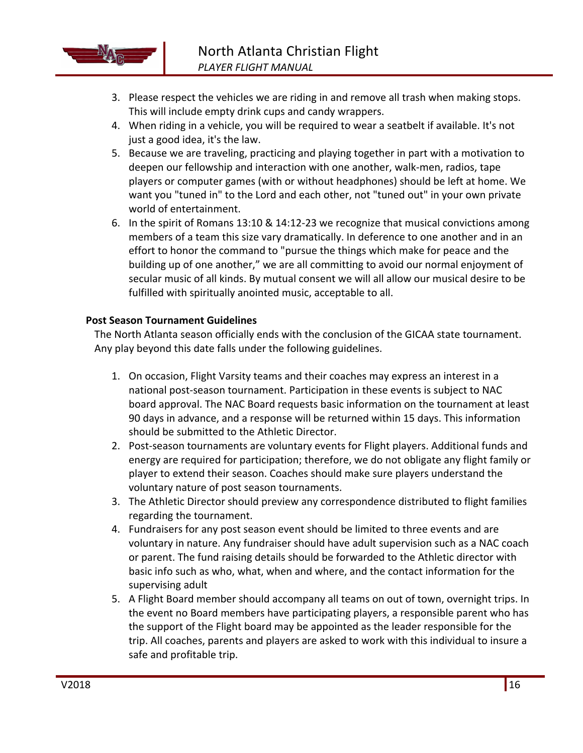

- 3. Please respect the vehicles we are riding in and remove all trash when making stops. This will include empty drink cups and candy wrappers.
- 4. When riding in a vehicle, you will be required to wear a seatbelt if available. It's not just a good idea, it's the law.
- 5. Because we are traveling, practicing and playing together in part with a motivation to deepen our fellowship and interaction with one another, walk-men, radios, tape players or computer games (with or without headphones) should be left at home. We want you "tuned in" to the Lord and each other, not "tuned out" in your own private world of entertainment.
- 6. In the spirit of Romans 13:10 & 14:12-23 we recognize that musical convictions among members of a team this size vary dramatically. In deference to one another and in an effort to honor the command to "pursue the things which make for peace and the building up of one another," we are all committing to avoid our normal enjoyment of secular music of all kinds. By mutual consent we will all allow our musical desire to be fulfilled with spiritually anointed music, acceptable to all.

#### **Post Season Tournament Guidelines**

The North Atlanta season officially ends with the conclusion of the GICAA state tournament. Any play beyond this date falls under the following guidelines.

- 1. On occasion, Flight Varsity teams and their coaches may express an interest in a national post-season tournament. Participation in these events is subject to NAC board approval. The NAC Board requests basic information on the tournament at least 90 days in advance, and a response will be returned within 15 days. This information should be submitted to the Athletic Director.
- 2. Post-season tournaments are voluntary events for Flight players. Additional funds and energy are required for participation; therefore, we do not obligate any flight family or player to extend their season. Coaches should make sure players understand the voluntary nature of post season tournaments.
- 3. The Athletic Director should preview any correspondence distributed to flight families regarding the tournament.
- 4. Fundraisers for any post season event should be limited to three events and are voluntary in nature. Any fundraiser should have adult supervision such as a NAC coach or parent. The fund raising details should be forwarded to the Athletic director with basic info such as who, what, when and where, and the contact information for the supervising adult
- 5. A Flight Board member should accompany all teams on out of town, overnight trips. In the event no Board members have participating players, a responsible parent who has the support of the Flight board may be appointed as the leader responsible for the trip. All coaches, parents and players are asked to work with this individual to insure a safe and profitable trip.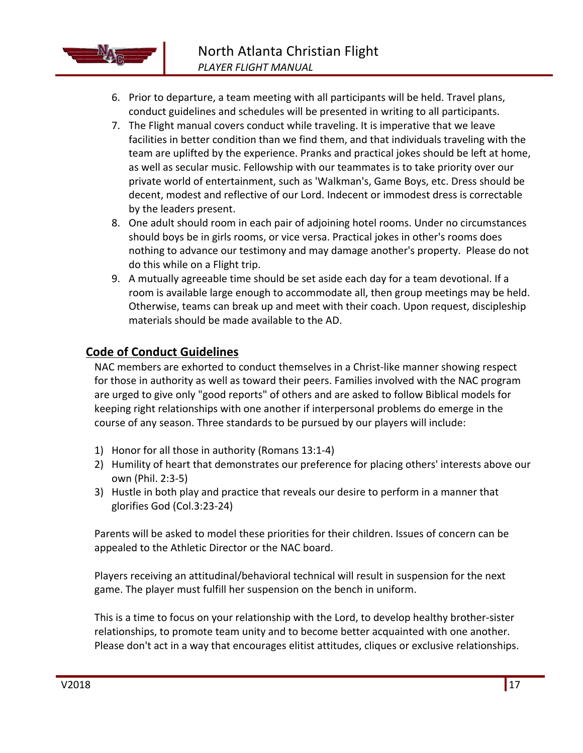

- 6. Prior to departure, a team meeting with all participants will be held. Travel plans, conduct guidelines and schedules will be presented in writing to all participants.
- 7. The Flight manual covers conduct while traveling. It is imperative that we leave facilities in better condition than we find them, and that individuals traveling with the team are uplifted by the experience. Pranks and practical jokes should be left at home, as well as secular music. Fellowship with our teammates is to take priority over our private world of entertainment, such as 'Walkman's, Game Boys, etc. Dress should be decent, modest and reflective of our Lord. Indecent or immodest dress is correctable by the leaders present.
- 8. One adult should room in each pair of adjoining hotel rooms. Under no circumstances should boys be in girls rooms, or vice versa. Practical jokes in other's rooms does nothing to advance our testimony and may damage another's property. Please do not do this while on a Flight trip.
- 9. A mutually agreeable time should be set aside each day for a team devotional. If a room is available large enough to accommodate all, then group meetings may be held. Otherwise, teams can break up and meet with their coach. Upon request, discipleship materials should be made available to the AD.

# **Code of Conduct Guidelines**

NAC members are exhorted to conduct themselves in a Christ-like manner showing respect for those in authority as well as toward their peers. Families involved with the NAC program are urged to give only "good reports" of others and are asked to follow Biblical models for keeping right relationships with one another if interpersonal problems do emerge in the course of any season. Three standards to be pursued by our players will include:

- 1) Honor for all those in authority (Romans 13:1-4)
- 2) Humility of heart that demonstrates our preference for placing others' interests above our own (Phil. 2:3-5)
- 3) Hustle in both play and practice that reveals our desire to perform in a manner that glorifies God (Col.3:23-24)

Parents will be asked to model these priorities for their children. Issues of concern can be appealed to the Athletic Director or the NAC board.

Players receiving an attitudinal/behavioral technical will result in suspension for the next game. The player must fulfill her suspension on the bench in uniform.

This is a time to focus on your relationship with the Lord, to develop healthy brother-sister relationships, to promote team unity and to become better acquainted with one another. Please don't act in a way that encourages elitist attitudes, cliques or exclusive relationships.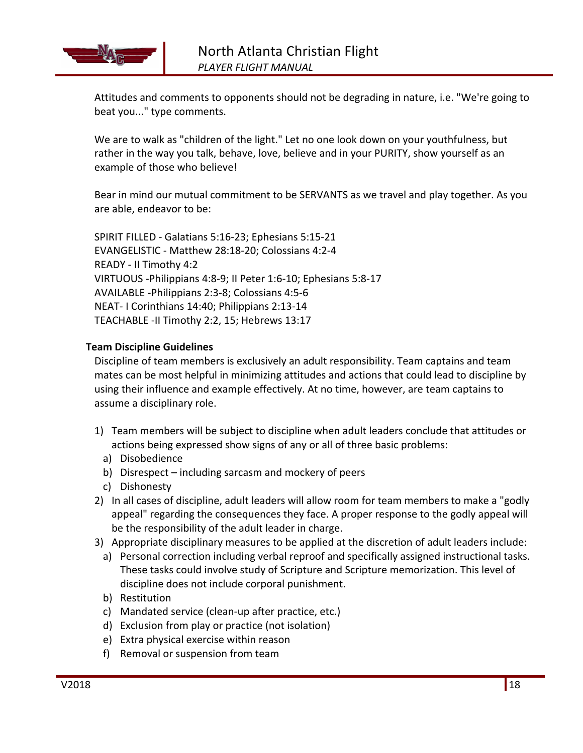

Attitudes and comments to opponents should not be degrading in nature, i.e. "We're going to beat you..." type comments.

We are to walk as "children of the light." Let no one look down on your youthfulness, but rather in the way you talk, behave, love, believe and in your PURITY, show yourself as an example of those who believe!

Bear in mind our mutual commitment to be SERVANTS as we travel and play together. As you are able, endeavor to be:

SPIRIT FILLED - Galatians 5:16-23; Ephesians 5:15-21 EVANGELISTIC - Matthew 28:18-20; Colossians 4:2-4 READY - II Timothy 4:2 VIRTUOUS -Philippians 4:8-9; II Peter 1:6-10; Ephesians 5:8-17 AVAILABLE -Philippians 2:3-8; Colossians 4:5-6 NEAT- I Corinthians 14:40; Philippians 2:13-14 TEACHABLE -II Timothy 2:2, 15; Hebrews 13:17

#### **Team Discipline Guidelines**

Discipline of team members is exclusively an adult responsibility. Team captains and team mates can be most helpful in minimizing attitudes and actions that could lead to discipline by using their influence and example effectively. At no time, however, are team captains to assume a disciplinary role.

- 1) Team members will be subject to discipline when adult leaders conclude that attitudes or actions being expressed show signs of any or all of three basic problems:
	- a) Disobedience
	- b) Disrespect including sarcasm and mockery of peers
- c) Dishonesty
- 2) In all cases of discipline, adult leaders will allow room for team members to make a "godly appeal" regarding the consequences they face. A proper response to the godly appeal will be the responsibility of the adult leader in charge.
- 3) Appropriate disciplinary measures to be applied at the discretion of adult leaders include:
	- a) Personal correction including verbal reproof and specifically assigned instructional tasks. These tasks could involve study of Scripture and Scripture memorization. This level of discipline does not include corporal punishment.
	- b) Restitution
	- c) Mandated service (clean-up after practice, etc.)
	- d) Exclusion from play or practice (not isolation)
	- e) Extra physical exercise within reason
	- f) Removal or suspension from team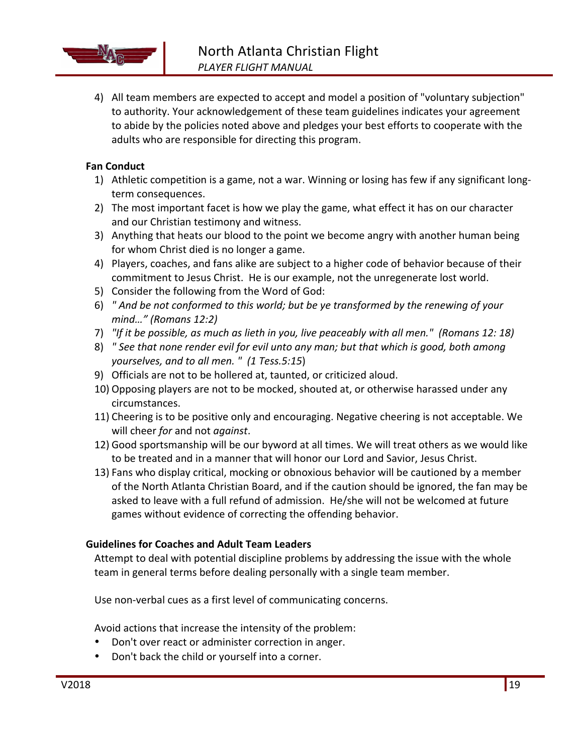

4) All team members are expected to accept and model a position of "voluntary subjection" to authority. Your acknowledgement of these team guidelines indicates your agreement to abide by the policies noted above and pledges your best efforts to cooperate with the adults who are responsible for directing this program.

#### **Fan Conduct**

- 1) Athletic competition is a game, not a war. Winning or losing has few if any significant longterm consequences.
- 2) The most important facet is how we play the game, what effect it has on our character and our Christian testimony and witness.
- 3) Anything that heats our blood to the point we become angry with another human being for whom Christ died is no longer a game.
- 4) Players, coaches, and fans alike are subject to a higher code of behavior because of their commitment to Jesus Christ. He is our example, not the unregenerate lost world.
- 5) Consider the following from the Word of God:
- 6) *"* And be not conformed to this world; but be ye transformed by the renewing of your *mind…" (Romans 12:2)*
- 7) "If it be possible, as much as lieth in you, live peaceably with all men." (Romans 12: 18)
- 8) " See that none render evil for evil unto any man; but that which is good, both among *yourselves, and to all men.* " (1 Tess.5:15)
- 9) Officials are not to be hollered at, taunted, or criticized aloud.
- 10) Opposing players are not to be mocked, shouted at, or otherwise harassed under any circumstances.
- 11) Cheering is to be positive only and encouraging. Negative cheering is not acceptable. We will cheer *for* and not *against*.
- 12) Good sportsmanship will be our byword at all times. We will treat others as we would like to be treated and in a manner that will honor our Lord and Savior, Jesus Christ.
- 13) Fans who display critical, mocking or obnoxious behavior will be cautioned by a member of the North Atlanta Christian Board, and if the caution should be ignored, the fan may be asked to leave with a full refund of admission. He/she will not be welcomed at future games without evidence of correcting the offending behavior.

#### **Guidelines for Coaches and Adult Team Leaders**

Attempt to deal with potential discipline problems by addressing the issue with the whole team in general terms before dealing personally with a single team member.

Use non-verbal cues as a first level of communicating concerns.

Avoid actions that increase the intensity of the problem:

- Don't over react or administer correction in anger.
- Don't back the child or yourself into a corner.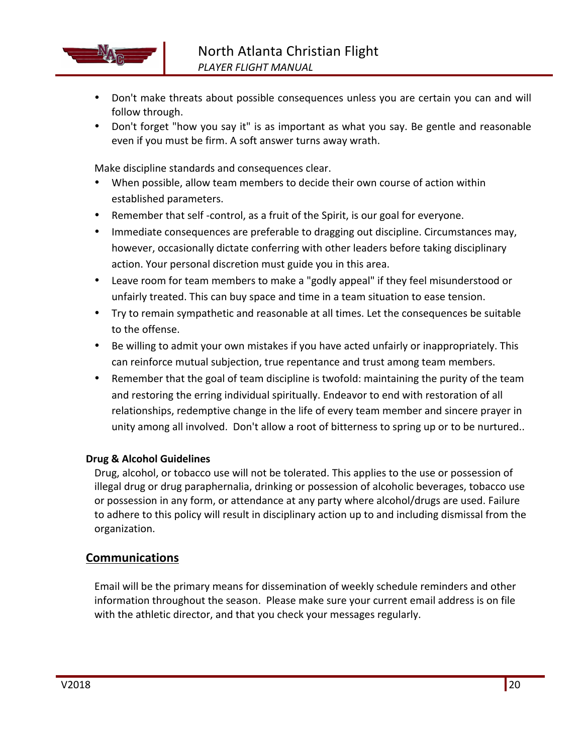

- Don't make threats about possible consequences unless you are certain you can and will follow through.
- Don't forget "how you say it" is as important as what you say. Be gentle and reasonable even if you must be firm. A soft answer turns away wrath.

Make discipline standards and consequences clear.

- When possible, allow team members to decide their own course of action within established parameters.
- Remember that self -control, as a fruit of the Spirit, is our goal for everyone.
- Immediate consequences are preferable to dragging out discipline. Circumstances may, however, occasionally dictate conferring with other leaders before taking disciplinary action. Your personal discretion must guide you in this area.
- Leave room for team members to make a "godly appeal" if they feel misunderstood or unfairly treated. This can buy space and time in a team situation to ease tension.
- Try to remain sympathetic and reasonable at all times. Let the consequences be suitable to the offense.
- Be willing to admit your own mistakes if you have acted unfairly or inappropriately. This can reinforce mutual subjection, true repentance and trust among team members.
- Remember that the goal of team discipline is twofold: maintaining the purity of the team and restoring the erring individual spiritually. Endeavor to end with restoration of all relationships, redemptive change in the life of every team member and sincere prayer in unity among all involved. Don't allow a root of bitterness to spring up or to be nurtured..

#### **Drug & Alcohol Guidelines**

Drug, alcohol, or tobacco use will not be tolerated. This applies to the use or possession of illegal drug or drug paraphernalia, drinking or possession of alcoholic beverages, tobacco use or possession in any form, or attendance at any party where alcohol/drugs are used. Failure to adhere to this policy will result in disciplinary action up to and including dismissal from the organization.

#### **Communications**

Email will be the primary means for dissemination of weekly schedule reminders and other information throughout the season. Please make sure your current email address is on file with the athletic director, and that you check your messages regularly.